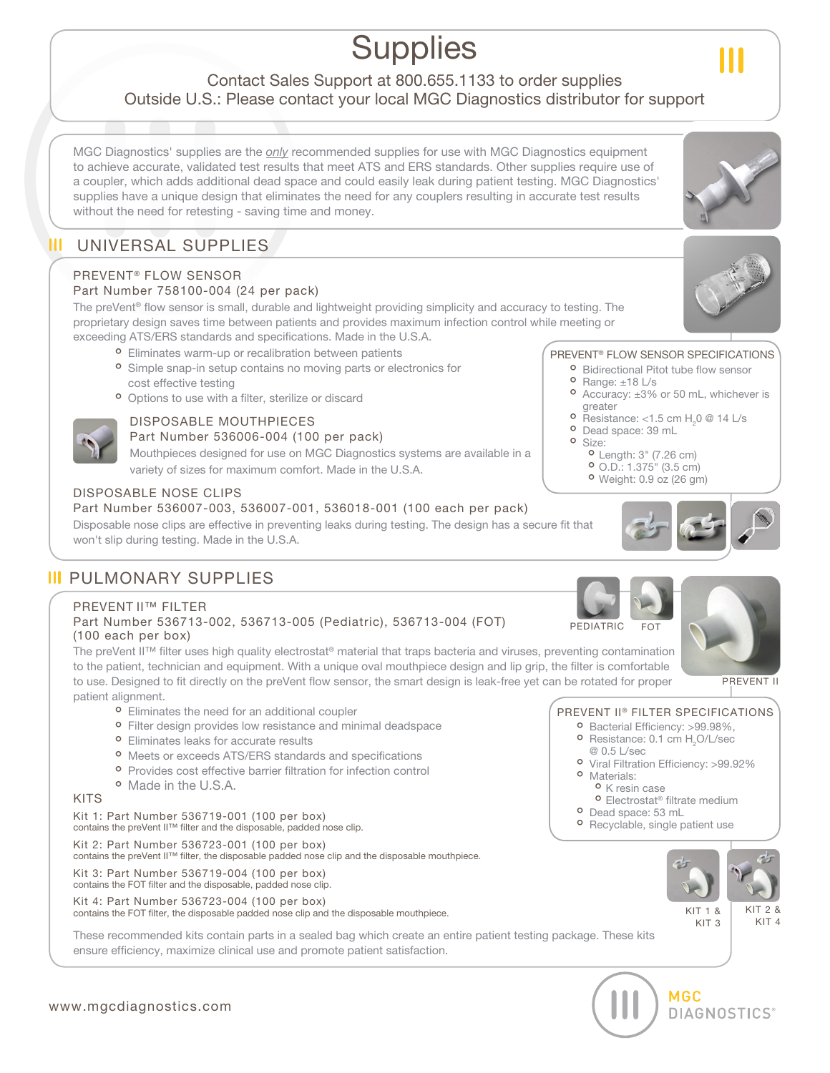# **Supplies**

### Contact Sales Support at 800.655.1133 to order supplies Outside U.S.: Please contact your local MGC Diagnostics distributor for support

MGC Diagnostics' supplies are the *only* recommended supplies for use with MGC Diagnostics equipment to achieve accurate, validated test results that meet ATS and ERS standards. Other supplies require use of a coupler, which adds additional dead space and could easily leak during patient testing. MGC Diagnostics' supplies have a unique design that eliminates the need for any couplers resulting in accurate test results without the need for retesting - saving time and money.

### $\mathbf{m}$ UNIVERSAL SUPPLIES

### PREVENT® FLOW SENSOR

### Part Number 758100-004 (24 per pack)

The preVent® flow sensor is small, durable and lightweight providing simplicity and accuracy to testing. The proprietary design saves time between patients and provides maximum infection control while meeting or exceeding ATS/ERS standards and specifications. Made in the U.S.A.

<sup>o</sup> Eliminates warm-up or recalibration between patients

- <sup>o</sup> Simple snap-in setup contains no moving parts or electronics for cost effective testing
- <sup>o</sup> Options to use with a filter, sterilize or discard

### DISPOSABLE MOUTHPIECES

### Part Number 536006-004 (100 per pack)

Mouthpieces designed for use on MGC Diagnostics systems are available in a variety of sizes for maximum comfort. Made in the U.S.A.

### DISPOSABLE NOSE CLIPS

### Part Number 536007-003, 536007-001, 536018-001 (100 each per pack)

Disposable nose clips are effective in preventing leaks during testing. The design has a secure fit that won't slip during testing. Made in the U.S.A.

## **III PULMONARY SUPPLIES**

### PREVENT II™ FILTER

### Part Number 536713-002, 536713-005 (Pediatric), 536713-004 (FOT) (100 each per box)

The preVent II™ filter uses high quality electrostat® material that traps bacteria and viruses, preventing contamination to the patient, technician and equipment. With a unique oval mouthpiece design and lip grip, the filter is comfortable to use. Designed to fit directly on the preVent flow sensor, the smart design is leak-free yet can be rotated for proper patient alignment.

- 
- $\bullet\,$  Eliminates the need for an additional coupler<br> $\bullet\,$  Filter design provides low resistance and mir **°** Filter design provides low resistance and minimal deadspace<br>**°** Eliminates leaks for accurate results
- 
- **○** Eliminates leaks for accurate results<br>○ Meets or exceeds ATS/ERS standards and specifications
- $\bullet$  Meets or exceeds ATS/ERS standards and specifications<br> $\bullet$  Provides cost effective barrier filtration for infection contr ° Provides cost effective barrier filtration for infection control<br>° Made in the U.S.A.
- <sup>o</sup> Made in the U.S.A.

### KITS

Kit 1: Part Number 536719-001 (100 per box) contains the preVent II™ filter and the disposable, padded nose clip.

Kit 2: Part Number 536723-001 (100 per box) contains the preVent II™ filter, the disposable padded nose clip and the disposable mouthpiece.

Kit 3: Part Number 536719-004 (100 per box)

contains the FOT filter and the disposable, padded nose clip.

Kit 4: Part Number 536723-004 (100 per box)

contains the FOT filter, the disposable padded nose clip and the disposable mouthpiece.

These recommended kits contain parts in a sealed bag which create an entire patient testing package. These kits ensure efficiency, maximize clinical use and promote patient satisfaction.

### PREVENT® FLOW SENSOR SPECIFICATIONS

- **•** Bidirectional Pitot tube flow sensor<br>• Range: ±18 L/s
- 
- **°** Range: ±18 L/s<br>• Accuracy: ±3% • Accuracy:  $\pm 3\%$  or 50 mL, whichever is greater greater
- **°** Resistance: <1.5 cm H<sub>2</sub>0 @ 14 L/s<br>• Dead space: 39 mL
- <sup>o</sup> Dead space: 39 mL<br><sup>o</sup> Size:
	-
- **•** Size:<br>• Length: 3" (7.26 cm) ˚
	- **°** O.D.: 1.375" (3.5 cm)<br>**°** Weight: 0.9 oz (26 gn
	- **•** Weight: 0.9 oz (26 gm)







PREVENT II

### PREVENT II® FILTER SPECIFICATIONS

- **•** Bacterial Efficiency: >99.98%,<br>• Resistance: 0.1 cm H<sub>2</sub>O/L/sec
- **•** Resistance: 0.1 cm  $H_2O/L/sec$ <br> **@** 0.5 L/sec @ 0.5 L/sec <sup>o</sup> Viral Filtration Efficiency: >99.92%
- **O** Materials:
	-
	- **°** K resin case<br>**°** Electrostat® filtrate medium <sup>o</sup> K resin case
- 
- <sup>o</sup> Dead space: 53 mL **°** Dead space: 53 mL<br>**°** Recyclable, single p **•** Recyclable, single patient use